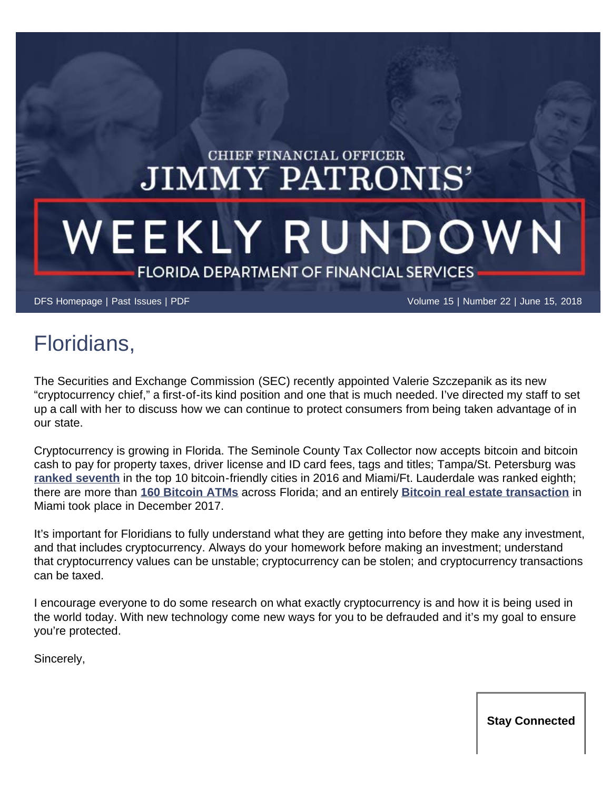## CHIEF FINANCIAL OFFICER. **JIMMY PATRONIS'**

# WEEKLY RUNDOWN FLORIDA DEPARTMENT OF FINANCIAL SERVICES

[DFS Homepage](https://www.myfloridacfo.com/) | [Past Issues](https://www.myfloridacfo.com/pressoffice/newsletter/2018/archive/newsletterarchive0118.htm) | [PDF](https://www.myfloridacfo.com/pressoffice/newsletter/2018/061318/June_1318.pdf) Volume 15 | Number 22 | June 15, 2018

## Floridians,

The Securities and Exchange Commission (SEC) recently appointed Valerie Szczepanik as its new "cryptocurrency chief," a first-of-its kind position and one that is much needed. I've directed my staff to set up a call with her to discuss how we can continue to protect consumers from being taken advantage of in our state.

Cryptocurrency is growing in Florida. The Seminole County Tax Collector now accepts bitcoin and bitcoin cash to pay for property taxes, driver license and ID card fees, tags and titles; Tampa/St. Petersburg was **[ranked seventh](https://www.ccn.com/top-10-11-bitcoin-friendly-cities/)** in the top 10 bitcoin-friendly cities in 2016 and Miami/Ft. Lauderdale was ranked eighth; there are more than **[160 Bitcoin ATMs](https://coinatmradar.com/state/10/bitcoin-atm-florida/)** across Florida; and an entirely **[Bitcoin real estate transaction](http://www.miamiherald.com/real-estate/article195704514.html)** in Miami took place in December 2017.

It's important for Floridians to fully understand what they are getting into before they make any investment, and that includes cryptocurrency. Always do your homework before making an investment; understand that cryptocurrency values can be unstable; cryptocurrency can be stolen; and cryptocurrency transactions can be taxed.

I encourage everyone to do some research on what exactly cryptocurrency is and how it is being used in the world today. With new technology come new ways for you to be defrauded and it's my goal to ensure you're protected.

Sincerely,

**Stay Connected**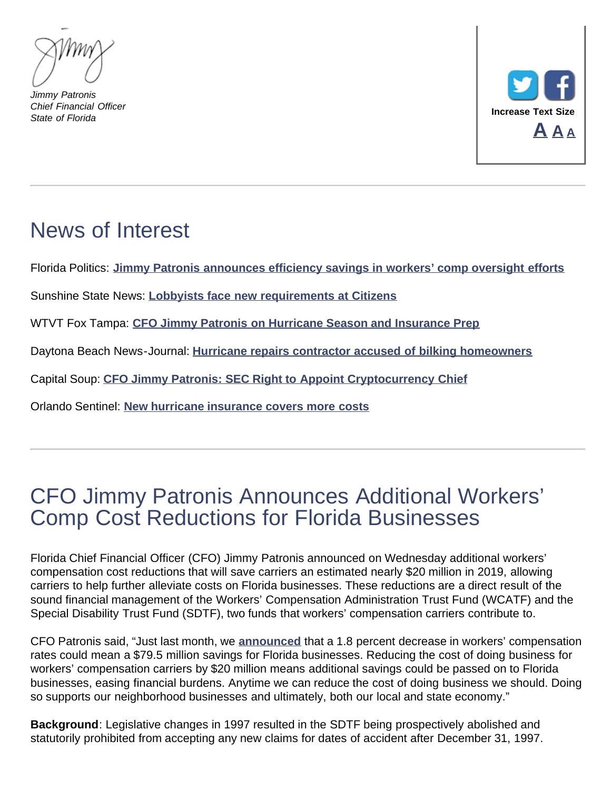*Jimmy Patronis Chief Financial Officer State of Florida*



## News of Interest

Florida Politics: **[Jimmy Patronis announces efficiency savings in workers' comp oversight efforts](http://floridapolitics.com/archives/266266-jimmy-patronis-announces-efficiency-savings-in-workers-comp-oversight-efforts)**

Sunshine State News: **[Lobbyists face new requirements at Citizens](http://sunshinestatenews.com/story/lobbyists-face-new-requirements-citizens)**

WTVT Fox Tampa: **[CFO Jimmy Patronis on Hurricane Season and Insurance Prep](http://mms.tveyes.com/MediaCenterPlayer.aspx?u=aHR0cDovL21lZGlhY2VudGVyLnR2ZXllcy5jb20vZG93bmxvYWRnYXRld2F5LmFzcHg%2FVXNlcklEPTI1NzY0MSZNRElEPTk5MTM0NTUmTURTZWVkPTE3MjUmVHlwZT1NZWRpYQ%3D%3D)**

Daytona Beach News-Journal: **[Hurricane repairs contractor accused of bilking homeowners](http://www.news-journalonline.com/news/20180608/hurricane-repairs-contractor-accused-of-bilking-homeowners-in-volusia-flagler)**

Capital Soup: **[CFO Jimmy Patronis: SEC Right to Appoint Cryptocurrency Chief](http://capitalsoup.com/2018/06/07/cfo-jimmy-patronis-sec-right-appoint-cryptocurrency-chief/)**

Orlando Sentinel: **[New hurricane insurance covers more costs](https://www.pressreader.com/usa/orlando-sentinel/20180611/281878709075438)**

### CFO Jimmy Patronis Announces Additional Workers' Comp Cost Reductions for Florida Businesses

Florida Chief Financial Officer (CFO) Jimmy Patronis announced on Wednesday additional workers' compensation cost reductions that will save carriers an estimated nearly \$20 million in 2019, allowing carriers to help further alleviate costs on Florida businesses. These reductions are a direct result of the sound financial management of the Workers' Compensation Administration Trust Fund (WCATF) and the Special Disability Trust Fund (SDTF), two funds that workers' compensation carriers contribute to.

CFO Patronis said, "Just last month, we **[announced](https://www.myfloridacfo.com/sitePages/newsroom/pressRelease.aspx?id=5031)** that a 1.8 percent decrease in workers' compensation rates could mean a \$79.5 million savings for Florida businesses. Reducing the cost of doing business for workers' compensation carriers by \$20 million means additional savings could be passed on to Florida businesses, easing financial burdens. Anytime we can reduce the cost of doing business we should. Doing so supports our neighborhood businesses and ultimately, both our local and state economy."

**Background**: Legislative changes in 1997 resulted in the SDTF being prospectively abolished and statutorily prohibited from accepting any new claims for dates of accident after December 31, 1997.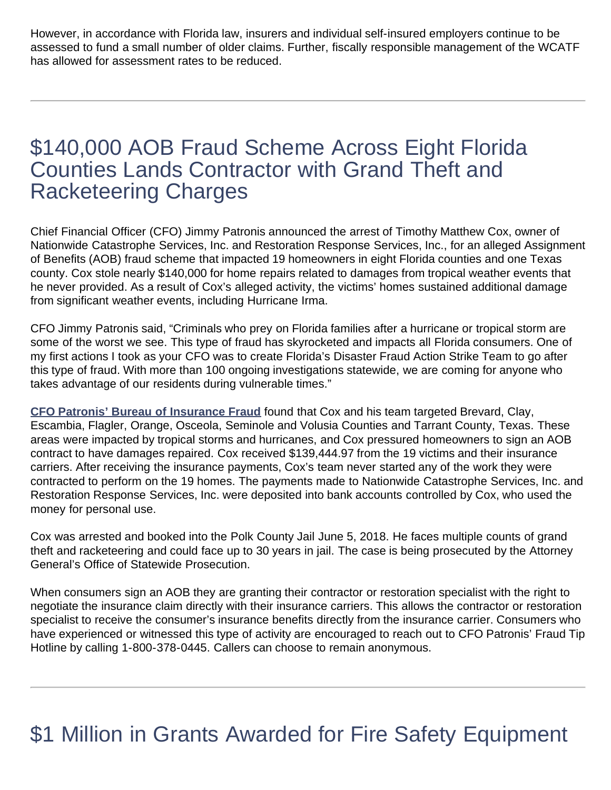However, in accordance with Florida law, insurers and individual self-insured employers continue to be assessed to fund a small number of older claims. Further, fiscally responsible management of the WCATF has allowed for assessment rates to be reduced.

#### \$140,000 AOB Fraud Scheme Across Eight Florida Counties Lands Contractor with Grand Theft and Racketeering Charges

Chief Financial Officer (CFO) Jimmy Patronis announced the arrest of Timothy Matthew Cox, owner of Nationwide Catastrophe Services, Inc. and Restoration Response Services, Inc., for an alleged Assignment of Benefits (AOB) fraud scheme that impacted 19 homeowners in eight Florida counties and one Texas county. Cox stole nearly \$140,000 for home repairs related to damages from tropical weather events that he never provided. As a result of Cox's alleged activity, the victims' homes sustained additional damage from significant weather events, including Hurricane Irma.

CFO Jimmy Patronis said, "Criminals who prey on Florida families after a hurricane or tropical storm are some of the worst we see. This type of fraud has skyrocketed and impacts all Florida consumers. One of my first actions I took as your CFO was to create Florida's Disaster Fraud Action Strike Team to go after this type of fraud. With more than 100 ongoing investigations statewide, we are coming for anyone who takes advantage of our residents during vulnerable times."

**[CFO Patronis' Bureau of Insurance Fraud](https://www.myfloridacfo.com/Division/DIFS/)** found that Cox and his team targeted Brevard, Clay, Escambia, Flagler, Orange, Osceola, Seminole and Volusia Counties and Tarrant County, Texas. These areas were impacted by tropical storms and hurricanes, and Cox pressured homeowners to sign an AOB contract to have damages repaired. Cox received \$139,444.97 from the 19 victims and their insurance carriers. After receiving the insurance payments, Cox's team never started any of the work they were contracted to perform on the 19 homes. The payments made to Nationwide Catastrophe Services, Inc. and Restoration Response Services, Inc. were deposited into bank accounts controlled by Cox, who used the money for personal use.

Cox was arrested and booked into the Polk County Jail June 5, 2018. He faces multiple counts of grand theft and racketeering and could face up to 30 years in jail. The case is being prosecuted by the Attorney General's Office of Statewide Prosecution.

When consumers sign an AOB they are granting their contractor or restoration specialist with the right to negotiate the insurance claim directly with their insurance carriers. This allows the contractor or restoration specialist to receive the consumer's insurance benefits directly from the insurance carrier. Consumers who have experienced or witnessed this type of activity are encouraged to reach out to CFO Patronis' Fraud Tip Hotline by calling 1-800-378-0445. Callers can choose to remain anonymous.

## \$1 Million in Grants Awarded for Fire Safety Equipment